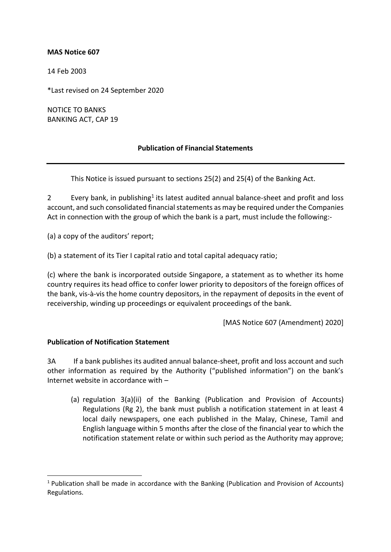## **MAS Notice 607**

14 Feb 2003

\*Last revised on 24 September 2020

NOTICE TO BANKS BANKING ACT, CAP 19

## **Publication of Financial Statements**

This Notice is issued pursuant to sections 25(2) and 25(4) of the Banking Act.

2 Every bank, in publishing<sup>1</sup> its latest audited annual balance-sheet and profit and loss account, and such consolidated financial statements as may be required under the Companies Act in connection with the group of which the bank is a part, must include the following:-

(a) a copy of the auditors' report;

(b) a statement of its Tier I capital ratio and total capital adequacy ratio;

(c) where the bank is incorporated outside Singapore, a statement as to whether its home country requires its head office to confer lower priority to depositors of the foreign offices of the bank, vis-à-vis the home country depositors, in the repayment of deposits in the event of receivership, winding up proceedings or equivalent proceedings of the bank.

[MAS Notice 607 (Amendment) 2020]

## **Publication of Notification Statement**

3A If a bank publishes its audited annual balance-sheet, profit and loss account and such other information as required by the Authority ("published information") on the bank's Internet website in accordance with –

(a) regulation 3(a)(ii) of the Banking (Publication and Provision of Accounts) Regulations (Rg 2), the bank must publish a notification statement in at least 4 local daily newspapers, one each published in the Malay, Chinese, Tamil and English language within 5 months after the close of the financial year to which the notification statement relate or within such period as the Authority may approve;

<sup>1</sup> Publication shall be made in accordance with the Banking (Publication and Provision of Accounts) Regulations.